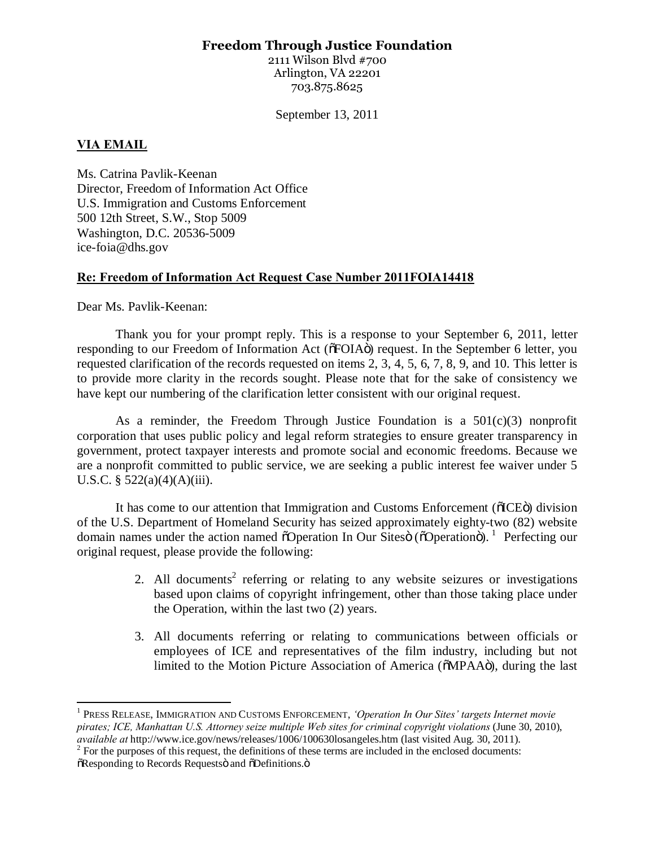# **Freedom Through Justice Foundation**

2111 Wilson Blvd #700 Arlington, VA 22201 703.875.8625

September 13, 2011

### **VIA EMAIL**

Ms. Catrina Pavlik-Keenan Director, Freedom of Information Act Office U.S. Immigration and Customs Enforcement 500 12th Street, S.W., Stop 5009 Washington, D.C. 20536-5009 ice-foia@dhs.gov

### **Re: Freedom of Information Act Request Case Number 2011FOIA14418**

Dear Ms. Pavlik-Keenan:

Thank you for your prompt reply. This is a response to your September 6, 2011, letter responding to our Freedom of Information Act ( $\delta$ FOIA $\ddot{o}$ ) request. In the September 6 letter, you requested clarification of the records requested on items 2, 3, 4, 5, 6, 7, 8, 9, and 10. This letter is to provide more clarity in the records sought. Please note that for the sake of consistency we have kept our numbering of the clarification letter consistent with our original request.

As a reminder, the Freedom Through Justice Foundation is a  $501(c)(3)$  nonprofit corporation that uses public policy and legal reform strategies to ensure greater transparency in government, protect taxpayer interests and promote social and economic freedoms. Because we are a nonprofit committed to public service, we are seeking a public interest fee waiver under 5 U.S.C. §  $522(a)(4)(A)(iii)$ .

It has come to our attention that Immigration and Customs Enforcement ( $\delta$ ICE $\delta$ ) division of the U.S. Department of Homeland Security has seized approximately eighty-two (82) website domain names under the action named  $\delta$ Operation In Our Sites $\ddot{\text{o}}$  ( $\delta$ Operation $\ddot{\text{o}}$ ). Perfecting our original request, please provide the following:

- 2. All documents<sup>2</sup> referring or relating to any website seizures or investigations based upon claims of copyright infringement, other than those taking place under the Operation, within the last two (2) years.
- 3. All documents referring or relating to communications between officials or employees of ICE and representatives of the film industry, including but not limited to the Motion Picture Association of America ( $\delta MPAA\ddot{o}$ ), during the last

<sup>1</sup> PRESS RELEASE, IMMIGRATION AND CUSTOMS ENFORCEMENT, *'Operation In Our Sites' targets Internet movie pirates; ICE, Manhattan U.S. Attorney seize multiple Web sites for criminal copyright violations* (June 30, 2010),

<sup>&</sup>lt;sup>2</sup> For the purposes of this request, the definitions of these terms are included in the enclosed documents:  $\tilde{\text{o}}$ Responding to Records Requestsö and  $\tilde{\text{o}}$ Definitions. $\ddot{\text{o}}$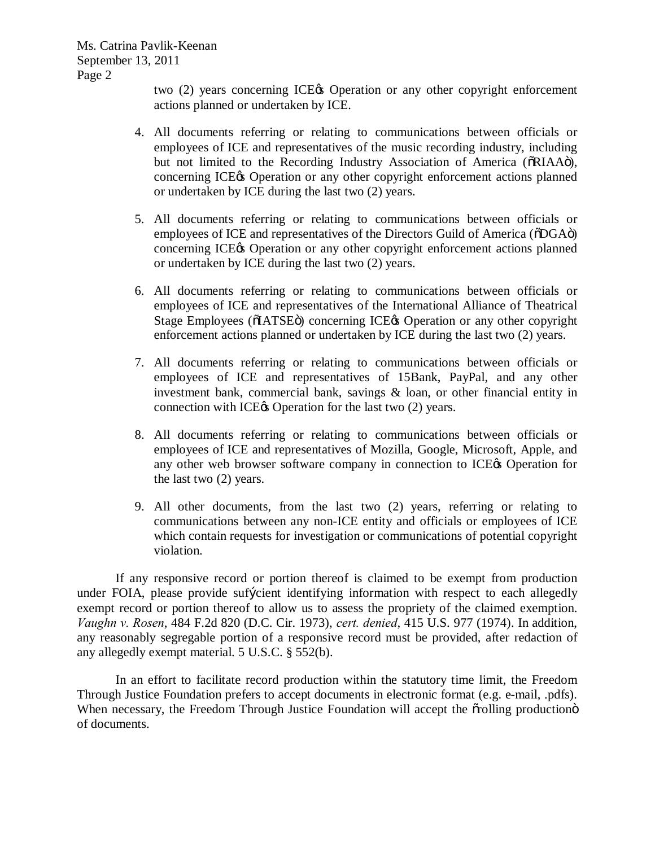Ms. Catrina Pavlik-Keenan September 13, 2011 Page 2

> two (2) years concerning ICE& Operation or any other copyright enforcement actions planned or undertaken by ICE.

- 4. All documents referring or relating to communications between officials or employees of ICE and representatives of the music recording industry, including but not limited to the Recording Industry Association of America ( $\delta$ RIAA $\ddot{o}$ ), concerning ICE $\alpha$  Operation or any other copyright enforcement actions planned or undertaken by ICE during the last two (2) years.
- 5. All documents referring or relating to communications between officials or employees of ICE and representatives of the Directors Guild of America ( $\delta$ DGA $\ddot{o}$ ) concerning ICE $\alpha$  Operation or any other copyright enforcement actions planned or undertaken by ICE during the last two (2) years.
- 6. All documents referring or relating to communications between officials or employees of ICE and representatives of the International Alliance of Theatrical Stage Employees ( $\tilde{o}IATSE\tilde{o}$ ) concerning ICE& Operation or any other copyright enforcement actions planned or undertaken by ICE during the last two (2) years.
- 7. All documents referring or relating to communications between officials or employees of ICE and representatives of 15Bank, PayPal, and any other investment bank, commercial bank, savings & loan, or other financial entity in connection with ICE $\alpha$  Operation for the last two (2) years.
- 8. All documents referring or relating to communications between officials or employees of ICE and representatives of Mozilla, Google, Microsoft, Apple, and any other web browser software company in connection to ICE & Operation for the last two (2) years.
- 9. All other documents, from the last two (2) years, referring or relating to communications between any non-ICE entity and officials or employees of ICE which contain requests for investigation or communications of potential copyright violation.

If any responsive record or portion thereof is claimed to be exempt from production under FOIA, please provide sufficient identifying information with respect to each allegedly exempt record or portion thereof to allow us to assess the propriety of the claimed exemption. *Vaughn v. Rosen*, 484 F.2d 820 (D.C. Cir. 1973), *cert. denied*, 415 U.S. 977 (1974). In addition, any reasonably segregable portion of a responsive record must be provided, after redaction of any allegedly exempt material. 5 U.S.C. § 552(b).

In an effort to facilitate record production within the statutory time limit, the Freedom Through Justice Foundation prefers to accept documents in electronic format (e.g. e-mail, .pdfs). When necessary, the Freedom Through Justice Foundation will accept the orthology production  $\ddot{o}$ of documents.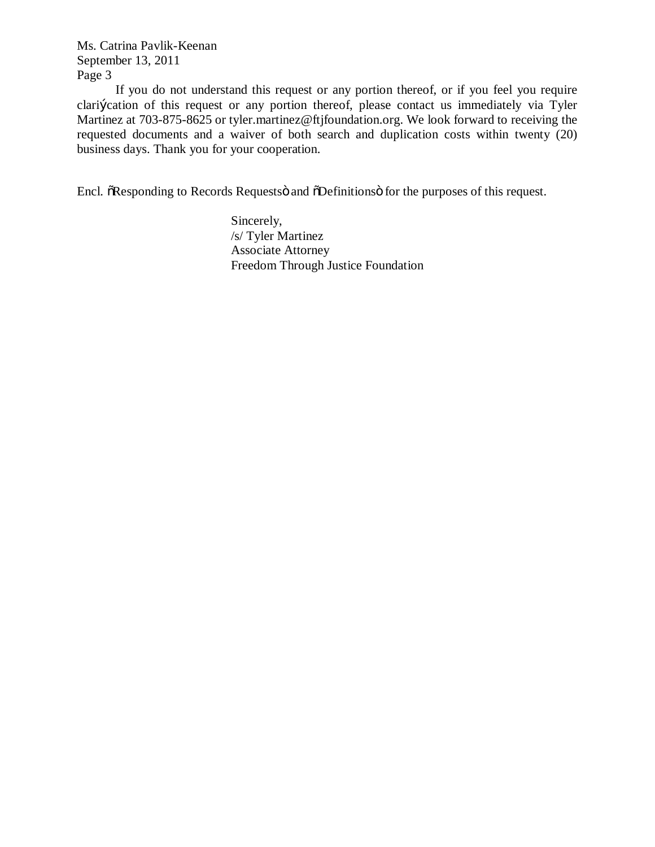Ms. Catrina Pavlik-Keenan September 13, 2011 Page 3

If you do not understand this request or any portion thereof, or if you feel you require clarification of this request or any portion thereof, please contact us immediately via Tyler Martinez at 703-875-8625 or tyler.martinez@ftjfoundation.org. We look forward to receiving the requested documents and a waiver of both search and duplication costs within twenty (20) business days. Thank you for your cooperation.

Encl.  $\delta$ Responding to Records Requests and  $\delta$ Definitions is for the purposes of this request.

Sincerely, /s/ Tyler Martinez Associate Attorney Freedom Through Justice Foundation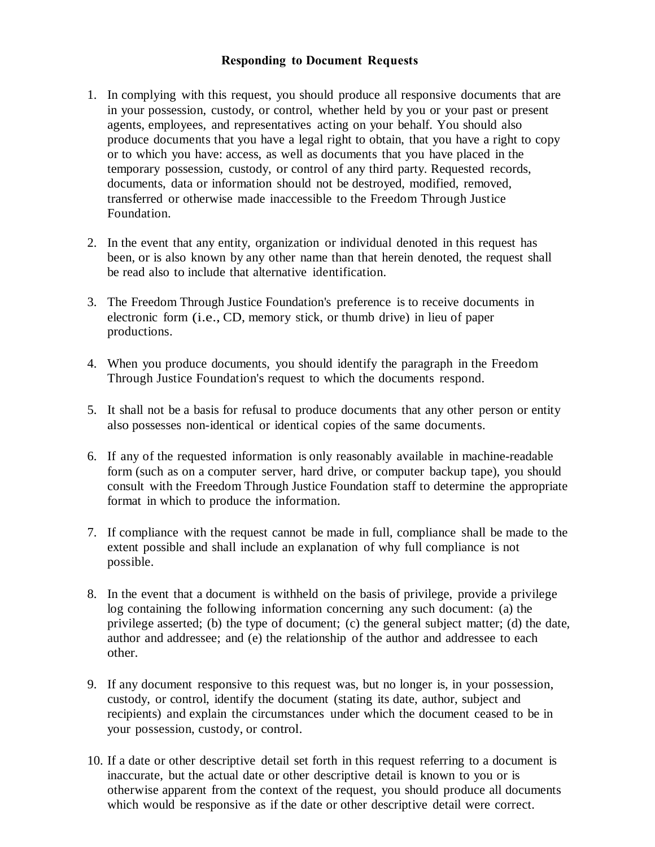## **Responding to Document Requests**

- 1. In complying with this request, you should produce all responsive documents that are in your possession, custody, or control, whether held by you or your past or present agents, employees, and representatives acting on your behalf. You should also produce documents that you have a legal right to obtain, that you have a right to copy or to which you have: access, as well as documents that you have placed in the temporary possession, custody, or control of any third party. Requested records, documents, data or information should not be destroyed, modified, removed, transferred or otherwise made inaccessible to the Freedom Through Justice Foundation.
- 2. In the event that any entity, organization or individual denoted in this request has been, or is also known by any other name than that herein denoted, the request shall be read also to include that alternative identification.
- 3. The Freedom Through Justice Foundation's preference is to receive documents in electronic form (i.e., CD, memory stick, or thumb drive) in lieu of paper productions.
- 4. When you produce documents, you should identify the paragraph in the Freedom Through Justice Foundation's request to which the documents respond.
- 5. It shall not be a basis for refusal to produce documents that any other person or entity also possesses non-identical or identical copies of the same documents.
- 6. If any of the requested information is only reasonably available in machine-readable form (such as on a computer server, hard drive, or computer backup tape), you should consult with the Freedom Through Justice Foundation staff to determine the appropriate format in which to produce the information.
- 7. If compliance with the request cannot be made in full, compliance shall be made to the extent possible and shall include an explanation of why full compliance is not possible.
- 8. In the event that a document is withheld on the basis of privilege, provide a privilege log containing the following information concerning any such document: (a) the privilege asserted; (b) the type of document; (c) the general subject matter; (d) the date, author and addressee; and (e) the relationship of the author and addressee to each other.
- 9. If any document responsive to this request was, but no longer is, in your possession, custody, or control, identify the document (stating its date, author, subject and recipients) and explain the circumstances under which the document ceased to be in your possession, custody, or control.
- 10. If a date or other descriptive detail set forth in this request referring to a document is inaccurate, but the actual date or other descriptive detail is known to you or is otherwise apparent from the context of the request, you should produce all documents which would be responsive as if the date or other descriptive detail were correct.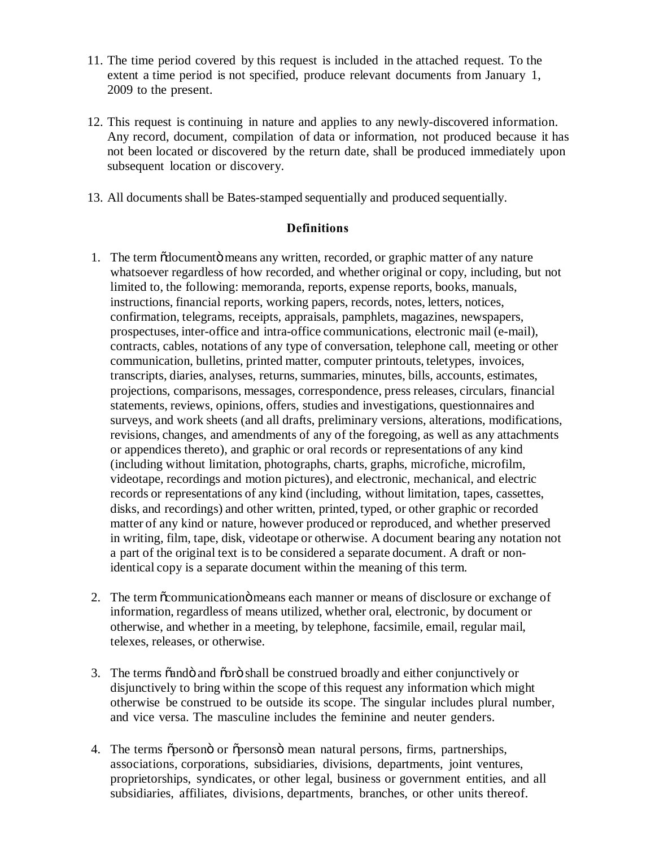- 11. The time period covered by this request is included in the attached request. To the extent a time period is not specified, produce relevant documents from January 1, 2009 to the present.
- 12. This request is continuing in nature and applies to any newly-discovered information. Any record, document, compilation of data or information, not produced because it has not been located or discovered by the return date, shall be produced immediately upon subsequent location or discovery.
- 13. All documentsshall be Bates-stamped sequentially and produced sequentially.

#### **Definitions**

- 1. The term  $\tilde{\text{od}}$  codumento means any written, recorded, or graphic matter of any nature whatsoever regardless of how recorded, and whether original or copy, including, but not limited to, the following: memoranda, reports, expense reports, books, manuals, instructions, financial reports, working papers, records, notes, letters, notices, confirmation, telegrams, receipts, appraisals, pamphlets, magazines, newspapers, prospectuses, inter-office and intra-office communications, electronic mail (e-mail), contracts, cables, notations of any type of conversation, telephone call, meeting or other communication, bulletins, printed matter, computer printouts, teletypes, invoices, transcripts, diaries, analyses, returns, summaries, minutes, bills, accounts, estimates, projections, comparisons, messages, correspondence, press releases, circulars, financial statements, reviews, opinions, offers, studies and investigations, questionnaires and surveys, and work sheets (and all drafts, preliminary versions, alterations, modifications, revisions, changes, and amendments of any of the foregoing, as well as any attachments or appendices thereto), and graphic or oral records or representations of any kind (including without limitation, photographs, charts, graphs, microfiche, microfilm, videotape, recordings and motion pictures), and electronic, mechanical, and electric records or representations of any kind (including, without limitation, tapes, cassettes, disks, and recordings) and other written, printed, typed, or other graphic or recorded matter of any kind or nature, however produced or reproduced, and whether preserved in writing, film, tape, disk, videotape or otherwise. A document bearing any notation not a part of the original text isto be considered a separate document. A draft or nonidentical copy is a separate document within the meaning of this term.
- 2. The term  $\alpha$  communication  $\alpha$  means each manner or means of disclosure or exchange of information, regardless of means utilized, whether oral, electronic, by document or otherwise, and whether in a meeting, by telephone, facsimile, email, regular mail, telexes, releases, or otherwise.
- 3. The terms  $\tilde{a}$  and  $\tilde{b}$  and  $\tilde{c}$  shall be construed broadly and either conjunctively or disjunctively to bring within the scope of this request any information which might otherwise be construed to be outside its scope. The singular includes plural number, and vice versa. The masculine includes the feminine and neuter genders.
- 4. The terms õpersono or õpersons mean natural persons, firms, partnerships, associations, corporations, subsidiaries, divisions, departments, joint ventures, proprietorships, syndicates, or other legal, business or government entities, and all subsidiaries, affiliates, divisions, departments, branches, or other units thereof.